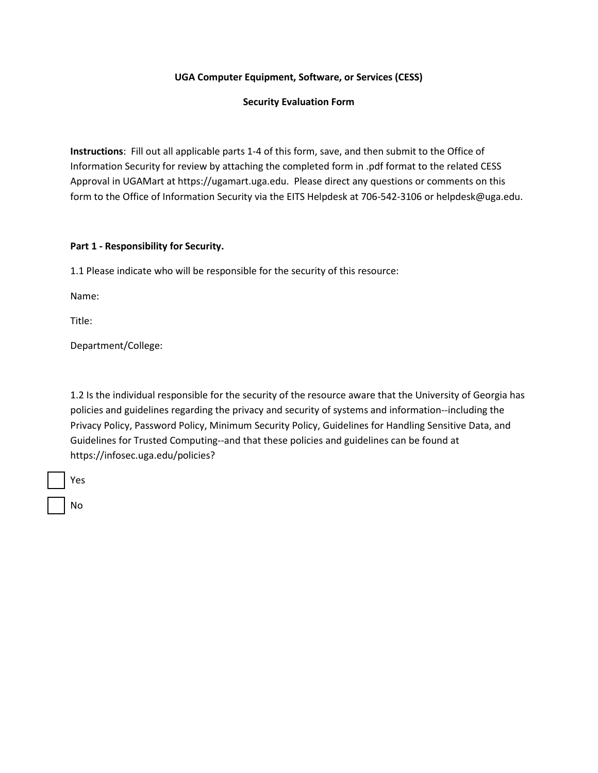## **UGA Computer Equipment, Software, or Services (CESS)**

## **Security Evaluation Form**

**Instructions**: Fill out all applicable parts 1-4 of this form, save, and then submit to the Office of Information Security for review by attaching the completed form in .pdf format to the related CESS Approval in UGAMart at https://ugamart.uga.edu. Please direct any questions or comments on this form to the Office of Information Security via the EITS Helpdesk at 706-542-3106 or helpdesk@uga.edu.

## **Part 1 - Responsibility for Security.**

1.1 Please indicate who will be responsible for the security of this resource:

Name:

Title:

Department/College:

1.2 Is the individual responsible for the security of the resource aware that the University of Georgia has policies and guidelines regarding the privacy and security of systems and information--including the Privacy Policy, Password Policy, Minimum Security Policy, Guidelines for Handling Sensitive Data, and Guidelines for Trusted Computing--and that these policies and guidelines can be found at https://infosec.uga.edu/policies?

Yes

No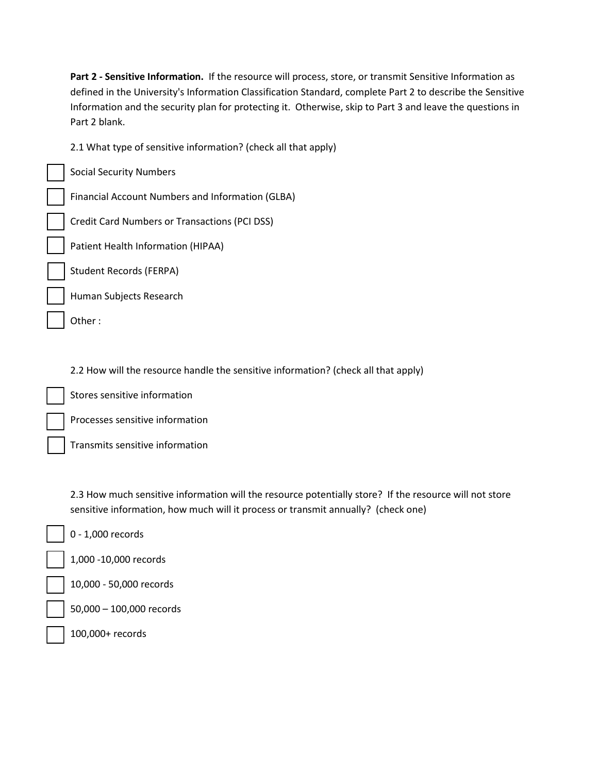**Part 2 - Sensitive Information.** If the resource will process, store, or transmit Sensitive Information as defined in the University's Information Classification Standard, complete Part 2 to describe the Sensitive Information and the security plan for protecting it. Otherwise, skip to Part 3 and leave the questions in Part 2 blank.

2.1 What type of sensitive information? (check all that apply)

Social Security Numbers

Financial Account Numbers and Information (GLBA)

Credit Card Numbers or Transactions (PCI DSS)

Patient Health Information (HIPAA)

Student Records (FERPA)

Human Subjects Research

Other :

2.2 How will the resource handle the sensitive information? (check all that apply)

Stores sensitive information

Processes sensitive information

Transmits sensitive information

2.3 How much sensitive information will the resource potentially store? If the resource will not store sensitive information, how much will it process or transmit annually? (check one)

0 - 1,000 records

1,000 -10,000 records

10,000 - 50,000 records

50,000 – 100,000 records

100,000+ records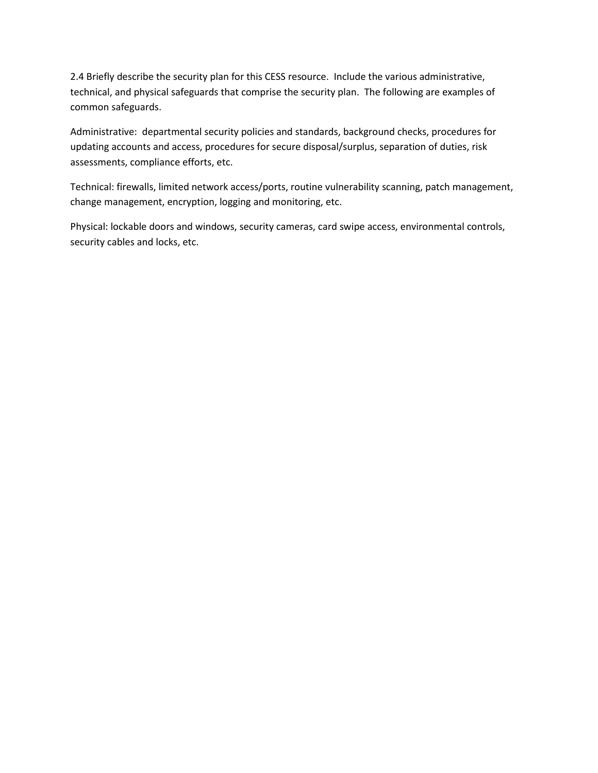2.4 Briefly describe the security plan for this CESS resource. Include the various administrative, technical, and physical safeguards that comprise the security plan. The following are examples of common safeguards.

Administrative: departmental security policies and standards, background checks, procedures for updating accounts and access, procedures for secure disposal/surplus, separation of duties, risk assessments, compliance efforts, etc.

Technical: firewalls, limited network access/ports, routine vulnerability scanning, patch management, change management, encryption, logging and monitoring, etc.

Physical: lockable doors and windows, security cameras, card swipe access, environmental controls, security cables and locks, etc.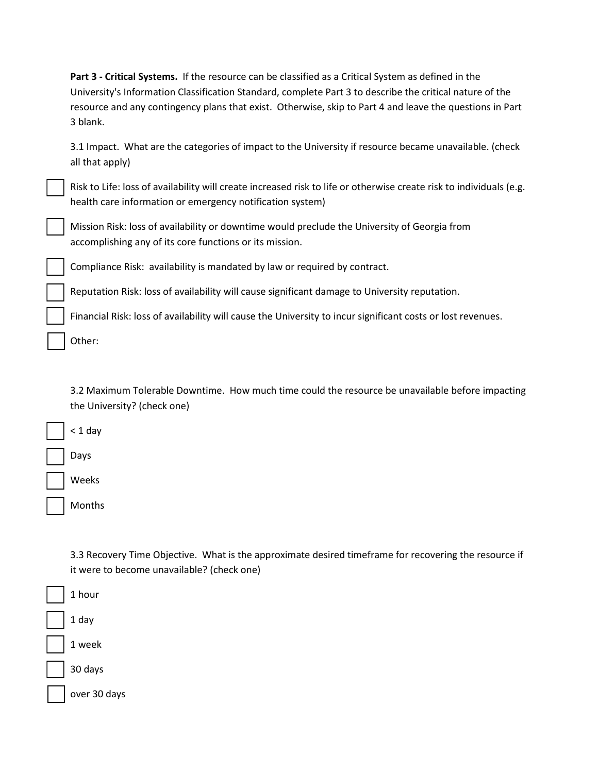| <b>Part 3 - Critical Systems.</b> If the resource can be classified as a Critical System as defined in the |
|------------------------------------------------------------------------------------------------------------|
| University's Information Classification Standard, complete Part 3 to describe the critical nature of the   |
| resource and any contingency plans that exist. Otherwise, skip to Part 4 and leave the questions in Part   |
| 3 blank.                                                                                                   |

3.1 Impact. What are the categories of impact to the University if resource became unavailable. (check all that apply)

Risk to Life: loss of availability will create increased risk to life or otherwise create risk to individuals (e.g. health care information or emergency notification system)

Mission Risk: loss of availability or downtime would preclude the University of Georgia from accomplishing any of its core functions or its mission.

Compliance Risk: availability is mandated by law or required by contract.

Reputation Risk: loss of availability will cause significant damage to University reputation.

Financial Risk: loss of availability will cause the University to incur significant costs or lost revenues.

Other:

3.2 Maximum Tolerable Downtime. How much time could the resource be unavailable before impacting the University? (check one)

 $<$  1 day

Days

Weeks

Months

3.3 Recovery Time Objective. What is the approximate desired timeframe for recovering the resource if it were to become unavailable? (check one)

| 1 hour       |
|--------------|
| 1 day        |
| 1 week       |
| 30 days      |
| over 30 days |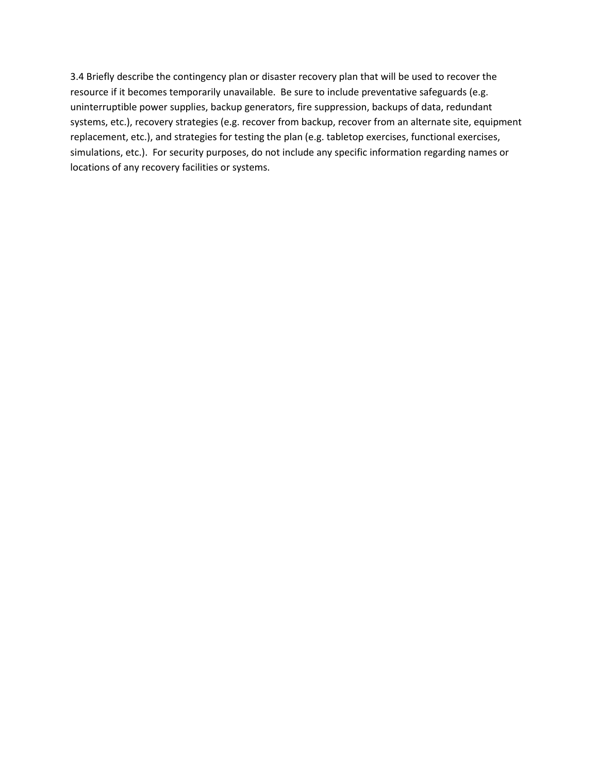3.4 Briefly describe the contingency plan or disaster recovery plan that will be used to recover the resource if it becomes temporarily unavailable. Be sure to include preventative safeguards (e.g. uninterruptible power supplies, backup generators, fire suppression, backups of data, redundant systems, etc.), recovery strategies (e.g. recover from backup, recover from an alternate site, equipment replacement, etc.), and strategies for testing the plan (e.g. tabletop exercises, functional exercises, simulations, etc.). For security purposes, do not include any specific information regarding names or locations of any recovery facilities or systems.